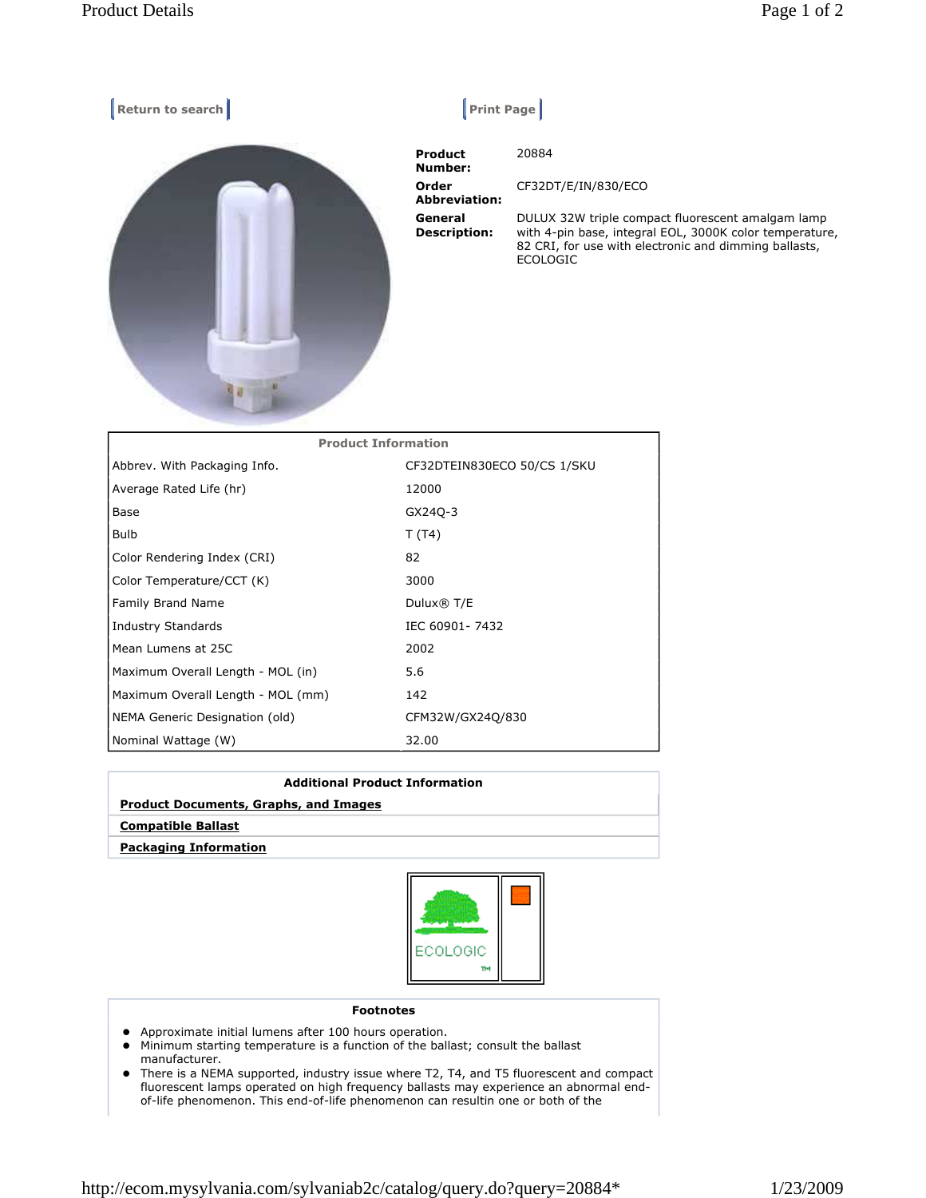| Return to search           | Print Page                       |                                                                                                                                                                                          |
|----------------------------|----------------------------------|------------------------------------------------------------------------------------------------------------------------------------------------------------------------------------------|
|                            | <b>Product</b><br><b>Number:</b> | 20884                                                                                                                                                                                    |
|                            | Order<br><b>Abbreviation:</b>    | CF32DT/E/IN/830/ECO                                                                                                                                                                      |
|                            | General<br><b>Description:</b>   | DULUX 32W triple compact fluorescent amalgam lamp<br>with 4-pin base, integral EOL, 3000K color temperature,<br>82 CRI, for use with electronic and dimming ballasts,<br><b>ECOLOGIC</b> |
| <b>Product Information</b> |                                  |                                                                                                                                                                                          |
| Abbrey With Packaging Info | CE32DTEIN830ECO 50/CS 1/SKU      |                                                                                                                                                                                          |

| Abbrev. With Packaging Info.      | CF32DTEIN830ECO 50/CS 1/SKU |
|-----------------------------------|-----------------------------|
| Average Rated Life (hr)           | 12000                       |
| Base                              | GX240-3                     |
| <b>Bulb</b>                       | T(T4)                       |
| Color Rendering Index (CRI)       | 82                          |
| Color Temperature/CCT (K)         | 3000                        |
| <b>Family Brand Name</b>          | Dulux® T/E                  |
| Industry Standards                | IEC 60901-7432              |
| Mean Lumens at 25C                | 2002                        |
| Maximum Overall Length - MOL (in) | 5.6                         |
| Maximum Overall Length - MOL (mm) | 142                         |
| NEMA Generic Designation (old)    | CFM32W/GX24Q/830            |
| Nominal Wattage (W)               | 32.00                       |

| <b>Additional Product Information</b>        |  |  |
|----------------------------------------------|--|--|
| <b>Product Documents, Graphs, and Images</b> |  |  |
| <b>Compatible Ballast</b>                    |  |  |
| <b>Packaging Information</b>                 |  |  |



## Footnotes

- Approximate initial lumens after 100 hours operation.
- Minimum starting temperature is a function of the ballast; consult the ballast manufacturer.
- There is a NEMA supported, industry issue where T2, T4, and T5 fluorescent and compact fluorescent lamps operated on high frequency ballasts may experience an abnormal endof-life phenomenon. This end-of-life phenomenon can resultin one or both of the